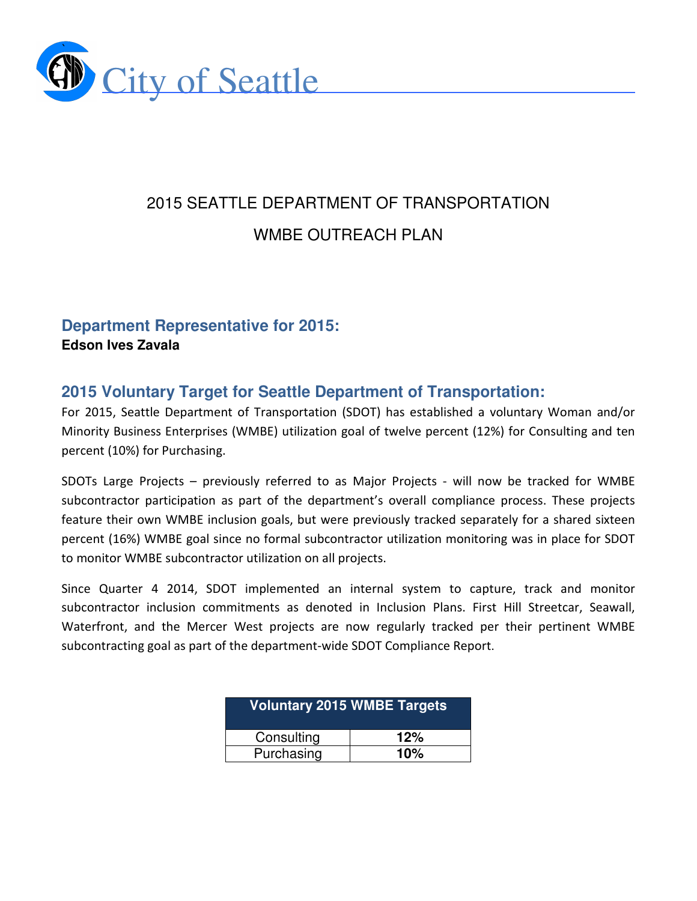

# 2015 SEATTLE DEPARTMENT OF TRANSPORTATION WMBE OUTREACH PLAN

# **Department Representative for 2015: Edson Ives Zavala**

# **2015 Voluntary Target for Seattle Department of Transportation:**

For 2015, Seattle Department of Transportation (SDOT) has established a voluntary Woman and/or Minority Business Enterprises (WMBE) utilization goal of twelve percent (12%) for Consulting and ten percent (10%) for Purchasing.

SDOTs Large Projects – previously referred to as Major Projects - will now be tracked for WMBE subcontractor participation as part of the department's overall compliance process. These projects feature their own WMBE inclusion goals, but were previously tracked separately for a shared sixteen percent (16%) WMBE goal since no formal subcontractor utilization monitoring was in place for SDOT to monitor WMBE subcontractor utilization on all projects.

Since Quarter 4 2014, SDOT implemented an internal system to capture, track and monitor subcontractor inclusion commitments as denoted in Inclusion Plans. First Hill Streetcar, Seawall, Waterfront, and the Mercer West projects are now regularly tracked per their pertinent WMBE subcontracting goal as part of the department-wide SDOT Compliance Report.

| Voluntary 2015 WMBE Targets |     |  |  |
|-----------------------------|-----|--|--|
| Consulting                  | 12% |  |  |
| Purchasing                  | 10% |  |  |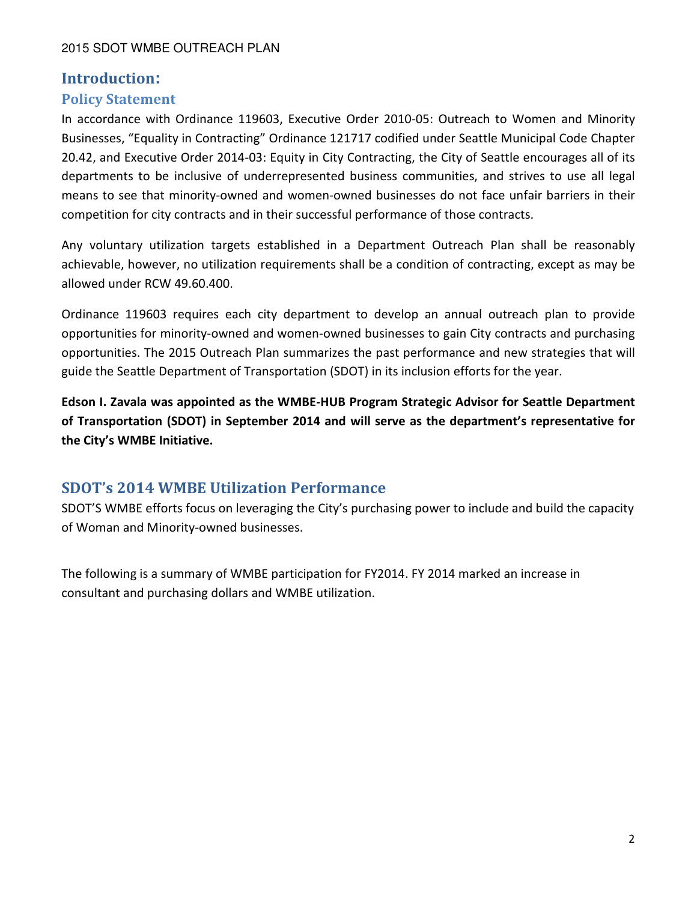# Introduction**:**

# Policy Statement

In accordance with Ordinance 119603, Executive Order 2010-05: Outreach to Women and Minority Businesses, "Equality in Contracting" Ordinance 121717 codified under Seattle Municipal Code Chapter 20.42, and Executive Order 2014-03: Equity in City Contracting, the City of Seattle encourages all of its departments to be inclusive of underrepresented business communities, and strives to use all legal means to see that minority-owned and women-owned businesses do not face unfair barriers in their competition for city contracts and in their successful performance of those contracts.

Any voluntary utilization targets established in a Department Outreach Plan shall be reasonably achievable, however, no utilization requirements shall be a condition of contracting, except as may be allowed under RCW 49.60.400.

Ordinance 119603 requires each city department to develop an annual outreach plan to provide opportunities for minority-owned and women-owned businesses to gain City contracts and purchasing opportunities. The 2015 Outreach Plan summarizes the past performance and new strategies that will guide the Seattle Department of Transportation (SDOT) in its inclusion efforts for the year.

Edson I. Zavala was appointed as the WMBE-HUB Program Strategic Advisor for Seattle Department of Transportation (SDOT) in September 2014 and will serve as the department's representative for the City's WMBE Initiative.

# SDOT's 2014 WMBE Utilization Performance

SDOT'S WMBE efforts focus on leveraging the City's purchasing power to include and build the capacity of Woman and Minority-owned businesses.

The following is a summary of WMBE participation for FY2014. FY 2014 marked an increase in consultant and purchasing dollars and WMBE utilization.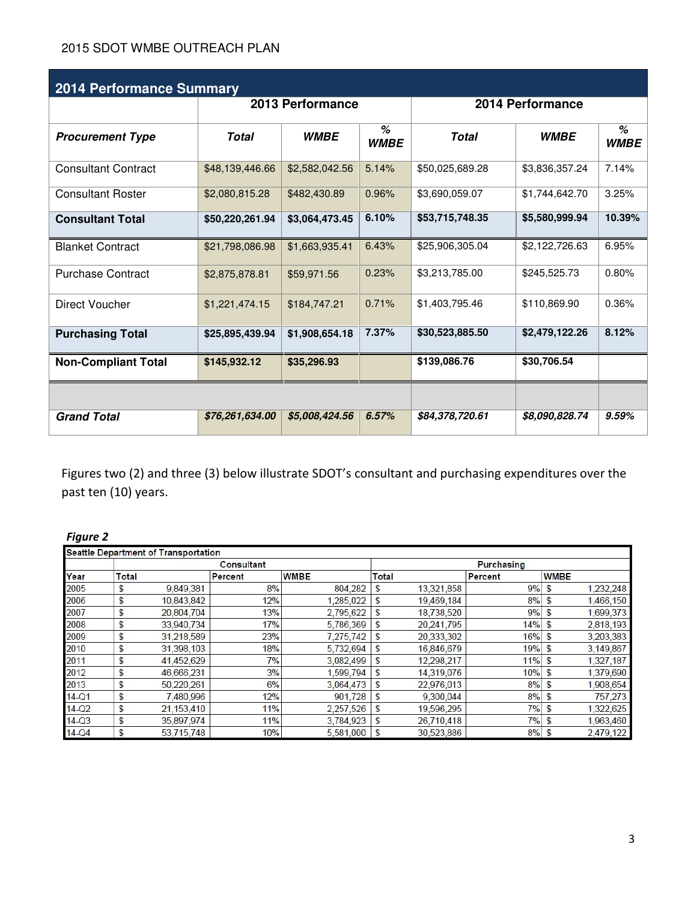| <b>2014 Performance Summary</b> |                  |                |                  |                 |                |                  |
|---------------------------------|------------------|----------------|------------------|-----------------|----------------|------------------|
|                                 | 2013 Performance |                | 2014 Performance |                 |                |                  |
| <b>Procurement Type</b>         | Total            | <b>WMBE</b>    | %<br><b>WMBE</b> | <b>Total</b>    | <b>WMBE</b>    | %<br><b>WMBE</b> |
| <b>Consultant Contract</b>      | \$48,139,446.66  | \$2,582,042.56 | 5.14%            | \$50,025,689.28 | \$3,836,357.24 | 7.14%            |
| <b>Consultant Roster</b>        | \$2,080,815.28   | \$482,430.89   | 0.96%            | \$3,690,059.07  | \$1,744,642.70 | 3.25%            |
| <b>Consultant Total</b>         | \$50,220,261.94  | \$3,064,473.45 | 6.10%            | \$53,715,748.35 | \$5,580,999.94 | 10.39%           |
| <b>Blanket Contract</b>         | \$21,798,086.98  | \$1,663,935.41 | 6.43%            | \$25,906,305.04 | \$2.122.726.63 | 6.95%            |
| <b>Purchase Contract</b>        | \$2,875,878.81   | \$59,971.56    | 0.23%            | \$3,213,785.00  | \$245,525.73   | 0.80%            |
| Direct Voucher                  | \$1,221,474.15   | \$184,747.21   | 0.71%            | \$1,403,795.46  | \$110,869.90   | 0.36%            |
| <b>Purchasing Total</b>         | \$25,895,439.94  | \$1,908,654.18 | 7.37%            | \$30,523,885.50 | \$2,479,122.26 | 8.12%            |
| <b>Non-Compliant Total</b>      | \$145,932.12     | \$35,296.93    |                  | \$139,086.76    | \$30,706.54    |                  |
|                                 |                  |                |                  |                 |                |                  |
| <b>Grand Total</b>              | \$76,261,634.00  | \$5,008,424.56 | 6.57%            | \$84,378,720.61 | \$8,090,828.74 | 9.59%            |

Figures two (2) and three (3) below illustrate SDOT's consultant and purchasing expenditures over the past ten (10) years.

# Figure 2

| Seattle Department of Transportation |                   |            |         |             |              |            |         |                |           |
|--------------------------------------|-------------------|------------|---------|-------------|--------------|------------|---------|----------------|-----------|
|                                      | <b>Consultant</b> |            |         | Purchasing  |              |            |         |                |           |
| Year                                 | <b>Total</b>      |            | Percent | <b>WMBE</b> | <b>Total</b> |            | Percent | <b>WMBE</b>    |           |
| 2005                                 | \$                | 9,849,381  | 8%      | 804,282     | \$           | 13,321,858 | 9%      | S              | 1,232,248 |
| 2006                                 | \$                | 10,843,842 | 12%     | 1,285,022   | \$           | 19,469,184 | 8%      | \$             | 1,466,150 |
| 2007                                 | \$                | 20,804,704 | 13%     | 2,795,622   | \$           | 18,738,520 | 9%      | $\mathfrak{S}$ | 1,699,373 |
| 2008                                 | \$                | 33,940,734 | 17%     | 5,786,369   | \$           | 20,241,795 | 14%     | $\mathfrak{L}$ | 2,818,193 |
| 2009                                 | \$                | 31,218,589 | 23%     | 7,275,742   | \$           | 20,333,302 | 16%     | \$             | 3,203,383 |
| 2010                                 | \$                | 31,398,103 | 18%     | 5,732,694   | \$           | 16,846,679 | 19%     | \$             | 3,149,867 |
| 2011                                 | \$                | 41,452,629 | 7%      | 3,082,499   | \$           | 12,298,217 | 11%     | \$             | 1,327,187 |
| 2012                                 | \$                | 46.666.231 | 3%      | 1,599,794   | \$           | 14,319,076 | 10%     | \$             | 1,379,690 |
| 2013                                 | \$                | 50,220,261 | 6%      | 3.064.473   | \$           | 22,976,013 | 8%      | \$             | 1,908,654 |
| $14-Q1$                              | \$                | 7,480,996  | 12%     | 901,728     | \$           | 9,300,044  | 8%      | \$             | 757,273   |
| $14-Q2$                              | \$                | 21,153,410 | 11%     | 2,257,526   | \$           | 19,596,295 | 7%      | \$             | 1,322,625 |
| $14-Q3$                              | \$                | 35,897,974 | 11%     | 3,784,923   | \$           | 26,710,418 | 7%      | \$             | 1,963,460 |
| $14-Q4$                              | \$                | 53,715,748 | 10%     | 5,581,000   | \$           | 30,523,886 | 8%      |                | 2,479,122 |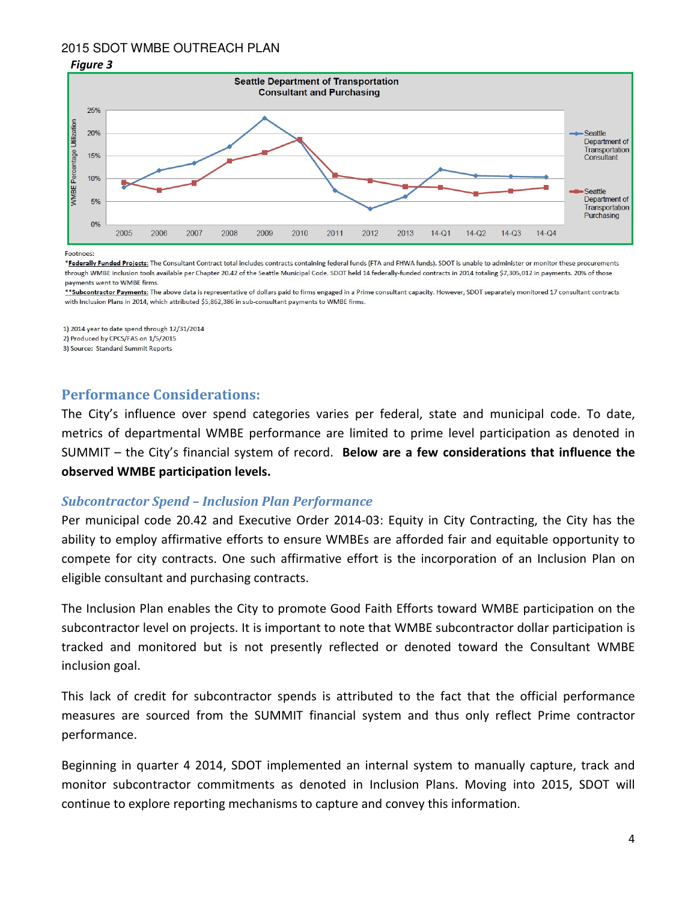

#### Footnoes:

\*Federally Funded Projects: The Consultant Contract total includes contracts containing federal funds (FTA and FHWA funds). SDOT is unable to administer or monitor these procurements through WMBE inclusion tools available per Chapter 20.42 of the Seattle Municipal Code. SDOT held 14 federally-funded contracts in 2014 totaling \$7,305,012 in payments. 20% of those payments went to WMBE firms

\*\*Subcontractor Payments: The above data is representative of dollars paid to firms engaged in a Prime consultant capacity. However, SDOT separately monitored 17 consultant contracts with Inclusion Plans in 2014, which attributed \$5,862,386 in sub-consultant payments to WMBE firms.

1) 2014 year to date spend through 12/31/2014 2) Produced by CPCS/FAS on 1/5/2015

3) Source: Standard Summit Reports

#### Performance Considerations:

The City's influence over spend categories varies per federal, state and municipal code. To date, metrics of departmental WMBE performance are limited to prime level participation as denoted in SUMMIT – the City's financial system of record. Below are a few considerations that influence the observed WMBE participation levels.

#### Subcontractor Spend – Inclusion Plan Performance

Per municipal code 20.42 and Executive Order 2014-03: Equity in City Contracting, the City has the ability to employ affirmative efforts to ensure WMBEs are afforded fair and equitable opportunity to compete for city contracts. One such affirmative effort is the incorporation of an Inclusion Plan on eligible consultant and purchasing contracts.

The Inclusion Plan enables the City to promote Good Faith Efforts toward WMBE participation on the subcontractor level on projects. It is important to note that WMBE subcontractor dollar participation is tracked and monitored but is not presently reflected or denoted toward the Consultant WMBE inclusion goal.

This lack of credit for subcontractor spends is attributed to the fact that the official performance measures are sourced from the SUMMIT financial system and thus only reflect Prime contractor performance.

Beginning in quarter 4 2014, SDOT implemented an internal system to manually capture, track and monitor subcontractor commitments as denoted in Inclusion Plans. Moving into 2015, SDOT will continue to explore reporting mechanisms to capture and convey this information.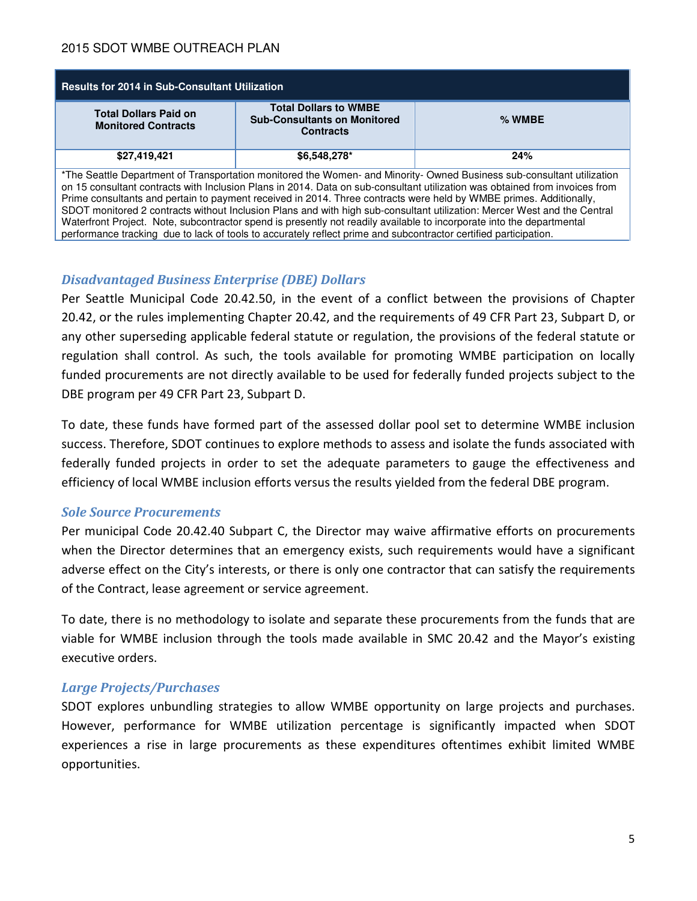| <b>Results for 2014 in Sub-Consultant Utilization</b>                                                                                                                                                                                                                                                                                                                                                                                                                                                  |                                                                                         |          |  |  |  |
|--------------------------------------------------------------------------------------------------------------------------------------------------------------------------------------------------------------------------------------------------------------------------------------------------------------------------------------------------------------------------------------------------------------------------------------------------------------------------------------------------------|-----------------------------------------------------------------------------------------|----------|--|--|--|
| <b>Total Dollars Paid on</b><br><b>Monitored Contracts</b>                                                                                                                                                                                                                                                                                                                                                                                                                                             | <b>Total Dollars to WMBE</b><br><b>Sub-Consultants on Monitored</b><br><b>Contracts</b> | $%$ WMBE |  |  |  |
| \$27,419,421                                                                                                                                                                                                                                                                                                                                                                                                                                                                                           | \$6,548,278*                                                                            | 24%      |  |  |  |
| *The Seattle Department of Transportation monitored the Women- and Minority-Owned Business sub-consultant utilization<br>on 15 consultant contracts with Inclusion Plans in 2014. Data on sub-consultant utilization was obtained from invoices from<br>Prime consultants and pertain to payment received in 2014. Three contracts were held by WMBE primes. Additionally,<br>SDOT monitored 2 contracts without Inclusion Plans and with high sub-consultant utilization: Mercer West and the Central |                                                                                         |          |  |  |  |

Waterfront Project. Note, subcontractor spend is presently not readily available to incorporate into the departmental performance tracking due to lack of tools to accurately reflect prime and subcontractor certified participation.

### Disadvantaged Business Enterprise (DBE) Dollars

Per Seattle Municipal Code 20.42.50, in the event of a conflict between the provisions of Chapter 20.42, or the rules implementing Chapter 20.42, and the requirements of 49 CFR Part 23, Subpart D, or any other superseding applicable federal statute or regulation, the provisions of the federal statute or regulation shall control. As such, the tools available for promoting WMBE participation on locally funded procurements are not directly available to be used for federally funded projects subject to the DBE program per 49 CFR Part 23, Subpart D.

To date, these funds have formed part of the assessed dollar pool set to determine WMBE inclusion success. Therefore, SDOT continues to explore methods to assess and isolate the funds associated with federally funded projects in order to set the adequate parameters to gauge the effectiveness and efficiency of local WMBE inclusion efforts versus the results yielded from the federal DBE program.

#### Sole Source Procurements

Per municipal Code 20.42.40 Subpart C, the Director may waive affirmative efforts on procurements when the Director determines that an emergency exists, such requirements would have a significant adverse effect on the City's interests, or there is only one contractor that can satisfy the requirements of the Contract, lease agreement or service agreement.

To date, there is no methodology to isolate and separate these procurements from the funds that are viable for WMBE inclusion through the tools made available in SMC 20.42 and the Mayor's existing executive orders.

# Large Projects/Purchases

SDOT explores unbundling strategies to allow WMBE opportunity on large projects and purchases. However, performance for WMBE utilization percentage is significantly impacted when SDOT experiences a rise in large procurements as these expenditures oftentimes exhibit limited WMBE opportunities.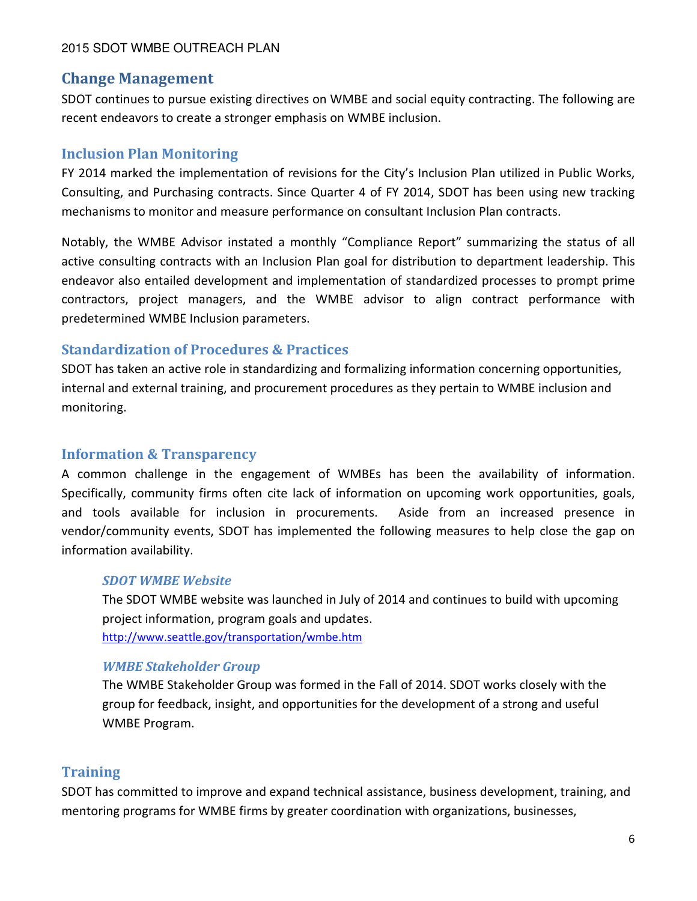# Change Management

SDOT continues to pursue existing directives on WMBE and social equity contracting. The following are recent endeavors to create a stronger emphasis on WMBE inclusion.

# Inclusion Plan Monitoring

FY 2014 marked the implementation of revisions for the City's Inclusion Plan utilized in Public Works, Consulting, and Purchasing contracts. Since Quarter 4 of FY 2014, SDOT has been using new tracking mechanisms to monitor and measure performance on consultant Inclusion Plan contracts.

Notably, the WMBE Advisor instated a monthly "Compliance Report" summarizing the status of all active consulting contracts with an Inclusion Plan goal for distribution to department leadership. This endeavor also entailed development and implementation of standardized processes to prompt prime contractors, project managers, and the WMBE advisor to align contract performance with predetermined WMBE Inclusion parameters.

# Standardization of Procedures & Practices

SDOT has taken an active role in standardizing and formalizing information concerning opportunities, internal and external training, and procurement procedures as they pertain to WMBE inclusion and monitoring.

# Information & Transparency

A common challenge in the engagement of WMBEs has been the availability of information. Specifically, community firms often cite lack of information on upcoming work opportunities, goals, and tools available for inclusion in procurements. Aside from an increased presence in vendor/community events, SDOT has implemented the following measures to help close the gap on information availability.

#### SDOT WMBE Website

The SDOT WMBE website was launched in July of 2014 and continues to build with upcoming project information, program goals and updates. http://www.seattle.gov/transportation/wmbe.htm

# WMBE Stakeholder Group

The WMBE Stakeholder Group was formed in the Fall of 2014. SDOT works closely with the group for feedback, insight, and opportunities for the development of a strong and useful WMBE Program.

# **Training**

SDOT has committed to improve and expand technical assistance, business development, training, and mentoring programs for WMBE firms by greater coordination with organizations, businesses,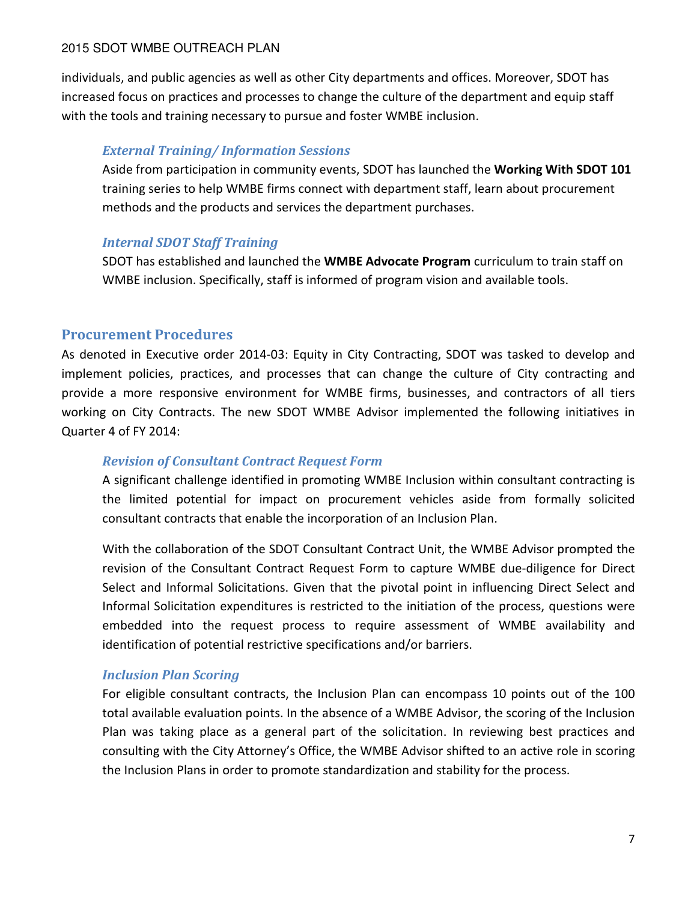individuals, and public agencies as well as other City departments and offices. Moreover, SDOT has increased focus on practices and processes to change the culture of the department and equip staff with the tools and training necessary to pursue and foster WMBE inclusion.

# External Training/ Information Sessions

Aside from participation in community events, SDOT has launched the Working With SDOT 101 training series to help WMBE firms connect with department staff, learn about procurement methods and the products and services the department purchases.

# Internal SDOT Staff Training

SDOT has established and launched the WMBE Advocate Program curriculum to train staff on WMBE inclusion. Specifically, staff is informed of program vision and available tools.

# Procurement Procedures

As denoted in Executive order 2014-03: Equity in City Contracting, SDOT was tasked to develop and implement policies, practices, and processes that can change the culture of City contracting and provide a more responsive environment for WMBE firms, businesses, and contractors of all tiers working on City Contracts. The new SDOT WMBE Advisor implemented the following initiatives in Quarter 4 of FY 2014:

# Revision of Consultant Contract Request Form

A significant challenge identified in promoting WMBE Inclusion within consultant contracting is the limited potential for impact on procurement vehicles aside from formally solicited consultant contracts that enable the incorporation of an Inclusion Plan.

With the collaboration of the SDOT Consultant Contract Unit, the WMBE Advisor prompted the revision of the Consultant Contract Request Form to capture WMBE due-diligence for Direct Select and Informal Solicitations. Given that the pivotal point in influencing Direct Select and Informal Solicitation expenditures is restricted to the initiation of the process, questions were embedded into the request process to require assessment of WMBE availability and identification of potential restrictive specifications and/or barriers.

# Inclusion Plan Scoring

For eligible consultant contracts, the Inclusion Plan can encompass 10 points out of the 100 total available evaluation points. In the absence of a WMBE Advisor, the scoring of the Inclusion Plan was taking place as a general part of the solicitation. In reviewing best practices and consulting with the City Attorney's Office, the WMBE Advisor shifted to an active role in scoring the Inclusion Plans in order to promote standardization and stability for the process.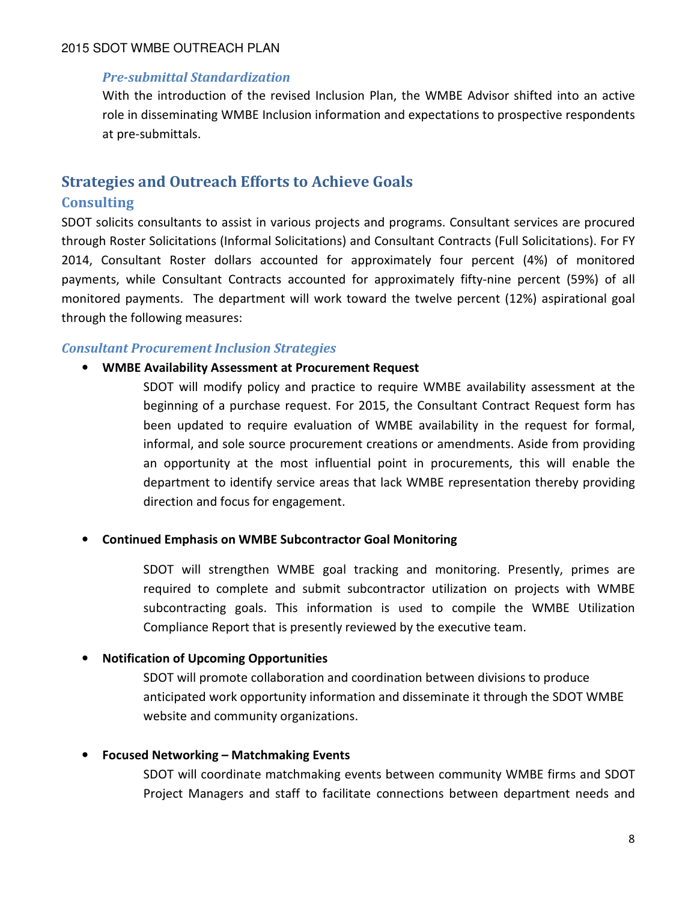### Pre-submittal Standardization

With the introduction of the revised Inclusion Plan, the WMBE Advisor shifted into an active role in disseminating WMBE Inclusion information and expectations to prospective respondents at pre-submittals.

# Strategies and Outreach Efforts to Achieve Goals **Consulting**

SDOT solicits consultants to assist in various projects and programs. Consultant services are procured through Roster Solicitations (Informal Solicitations) and Consultant Contracts (Full Solicitations). For FY 2014, Consultant Roster dollars accounted for approximately four percent (4%) of monitored payments, while Consultant Contracts accounted for approximately fifty-nine percent (59%) of all monitored payments. The department will work toward the twelve percent (12%) aspirational goal through the following measures:

### Consultant Procurement Inclusion Strategies

#### • WMBE Availability Assessment at Procurement Request

SDOT will modify policy and practice to require WMBE availability assessment at the beginning of a purchase request. For 2015, the Consultant Contract Request form has been updated to require evaluation of WMBE availability in the request for formal, informal, and sole source procurement creations or amendments. Aside from providing an opportunity at the most influential point in procurements, this will enable the department to identify service areas that lack WMBE representation thereby providing direction and focus for engagement.

#### • Continued Emphasis on WMBE Subcontractor Goal Monitoring

SDOT will strengthen WMBE goal tracking and monitoring. Presently, primes are required to complete and submit subcontractor utilization on projects with WMBE subcontracting goals. This information is used to compile the WMBE Utilization Compliance Report that is presently reviewed by the executive team.

#### • Notification of Upcoming Opportunities

SDOT will promote collaboration and coordination between divisions to produce anticipated work opportunity information and disseminate it through the SDOT WMBE website and community organizations.

#### • Focused Networking – Matchmaking Events

SDOT will coordinate matchmaking events between community WMBE firms and SDOT Project Managers and staff to facilitate connections between department needs and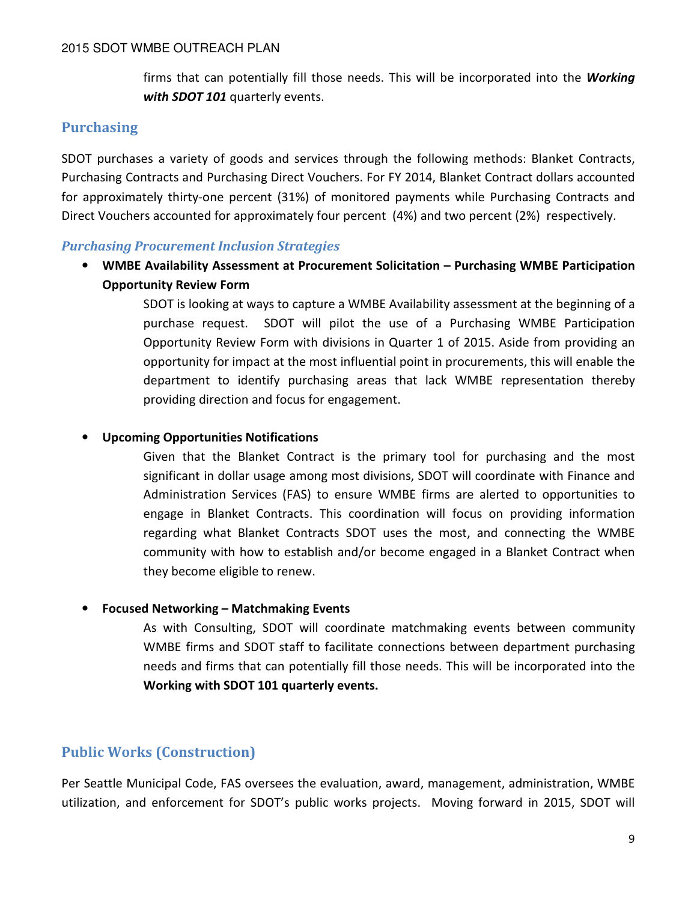firms that can potentially fill those needs. This will be incorporated into the Working with SDOT 101 quarterly events.

# **Purchasing**

SDOT purchases a variety of goods and services through the following methods: Blanket Contracts, Purchasing Contracts and Purchasing Direct Vouchers. For FY 2014, Blanket Contract dollars accounted for approximately thirty-one percent (31%) of monitored payments while Purchasing Contracts and Direct Vouchers accounted for approximately four percent (4%) and two percent (2%) respectively.

### Purchasing Procurement Inclusion Strategies

• WMBE Availability Assessment at Procurement Solicitation – Purchasing WMBE Participation Opportunity Review Form

> SDOT is looking at ways to capture a WMBE Availability assessment at the beginning of a purchase request. SDOT will pilot the use of a Purchasing WMBE Participation Opportunity Review Form with divisions in Quarter 1 of 2015. Aside from providing an opportunity for impact at the most influential point in procurements, this will enable the department to identify purchasing areas that lack WMBE representation thereby providing direction and focus for engagement.

### • Upcoming Opportunities Notifications

Given that the Blanket Contract is the primary tool for purchasing and the most significant in dollar usage among most divisions, SDOT will coordinate with Finance and Administration Services (FAS) to ensure WMBE firms are alerted to opportunities to engage in Blanket Contracts. This coordination will focus on providing information regarding what Blanket Contracts SDOT uses the most, and connecting the WMBE community with how to establish and/or become engaged in a Blanket Contract when they become eligible to renew.

# • Focused Networking – Matchmaking Events

As with Consulting, SDOT will coordinate matchmaking events between community WMBE firms and SDOT staff to facilitate connections between department purchasing needs and firms that can potentially fill those needs. This will be incorporated into the Working with SDOT 101 quarterly events.

# Public Works (Construction)

Per Seattle Municipal Code, FAS oversees the evaluation, award, management, administration, WMBE utilization, and enforcement for SDOT's public works projects. Moving forward in 2015, SDOT will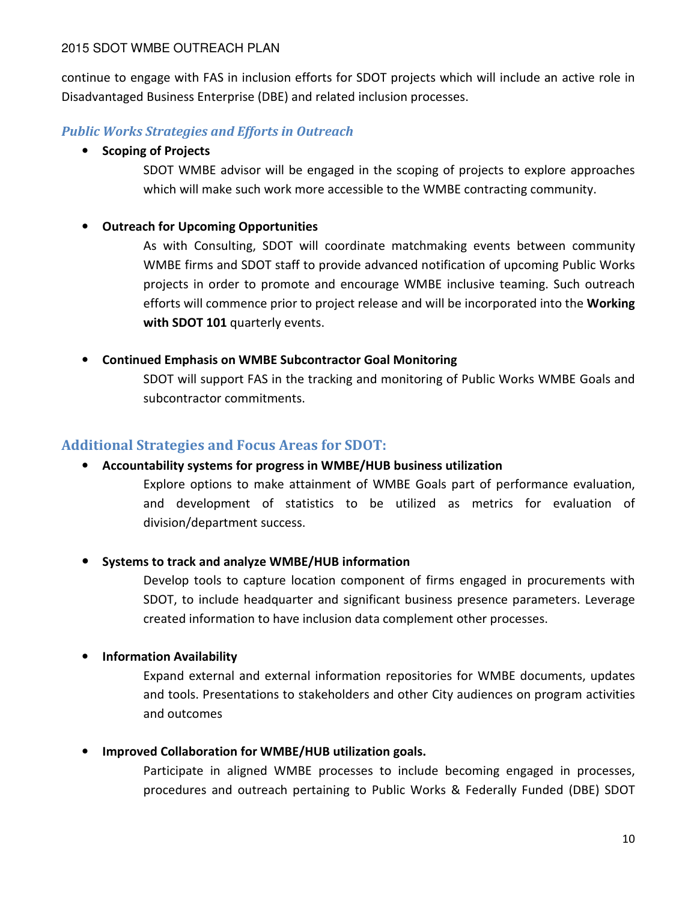continue to engage with FAS in inclusion efforts for SDOT projects which will include an active role in Disadvantaged Business Enterprise (DBE) and related inclusion processes.

# Public Works Strategies and Efforts in Outreach

# • Scoping of Projects

SDOT WMBE advisor will be engaged in the scoping of projects to explore approaches which will make such work more accessible to the WMBE contracting community.

# • Outreach for Upcoming Opportunities

As with Consulting, SDOT will coordinate matchmaking events between community WMBE firms and SDOT staff to provide advanced notification of upcoming Public Works projects in order to promote and encourage WMBE inclusive teaming. Such outreach efforts will commence prior to project release and will be incorporated into the **Working** with SDOT 101 quarterly events.

# • Continued Emphasis on WMBE Subcontractor Goal Monitoring

SDOT will support FAS in the tracking and monitoring of Public Works WMBE Goals and subcontractor commitments.

# Additional Strategies and Focus Areas for SDOT:

# • Accountability systems for progress in WMBE/HUB business utilization

Explore options to make attainment of WMBE Goals part of performance evaluation, and development of statistics to be utilized as metrics for evaluation of division/department success.

# • Systems to track and analyze WMBE/HUB information

Develop tools to capture location component of firms engaged in procurements with SDOT, to include headquarter and significant business presence parameters. Leverage created information to have inclusion data complement other processes.

# • Information Availability

Expand external and external information repositories for WMBE documents, updates and tools. Presentations to stakeholders and other City audiences on program activities and outcomes

# • Improved Collaboration for WMBE/HUB utilization goals.

Participate in aligned WMBE processes to include becoming engaged in processes, procedures and outreach pertaining to Public Works & Federally Funded (DBE) SDOT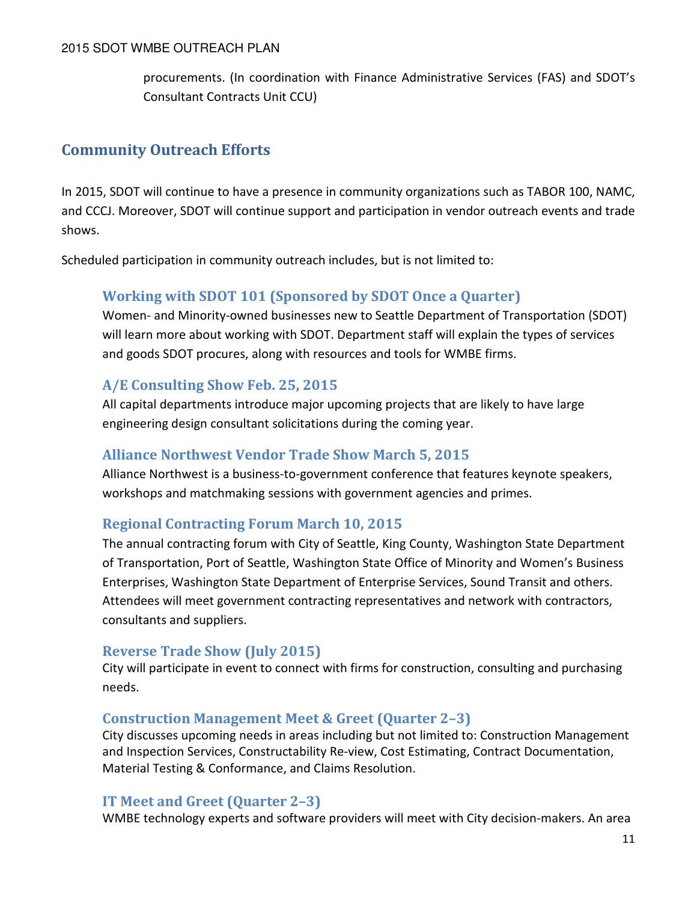procurements. (In coordination with Finance Administrative Services (FAS) and SDOT's Consultant Contracts Unit CCU)

# Community Outreach Efforts

In 2015, SDOT will continue to have a presence in community organizations such as TABOR 100, NAMC, and CCCJ. Moreover, SDOT will continue support and participation in vendor outreach events and trade shows.

Scheduled participation in community outreach includes, but is not limited to:

# Working with SDOT 101 (Sponsored by SDOT Once a Quarter)

Women- and Minority-owned businesses new to Seattle Department of Transportation (SDOT) will learn more about working with SDOT. Department staff will explain the types of services and goods SDOT procures, along with resources and tools for WMBE firms.

# A/E Consulting Show Feb. 25, 2015

All capital departments introduce major upcoming projects that are likely to have large engineering design consultant solicitations during the coming year.

# Alliance Northwest Vendor Trade Show March 5, 2015

Alliance Northwest is a business-to-government conference that features keynote speakers, workshops and matchmaking sessions with government agencies and primes.

# Regional Contracting Forum March 10, 2015

The annual contracting forum with City of Seattle, King County, Washington State Department of Transportation, Port of Seattle, Washington State Office of Minority and Women's Business Enterprises, Washington State Department of Enterprise Services, Sound Transit and others. Attendees will meet government contracting representatives and network with contractors, consultants and suppliers.

# Reverse Trade Show (July 2015)

City will participate in event to connect with firms for construction, consulting and purchasing needs.

# Construction Management Meet & Greet (Quarter 2–3)

City discusses upcoming needs in areas including but not limited to: Construction Management and Inspection Services, Constructability Re-view, Cost Estimating, Contract Documentation, Material Testing & Conformance, and Claims Resolution.

# IT Meet and Greet (Quarter 2–3)

WMBE technology experts and software providers will meet with City decision-makers. An area